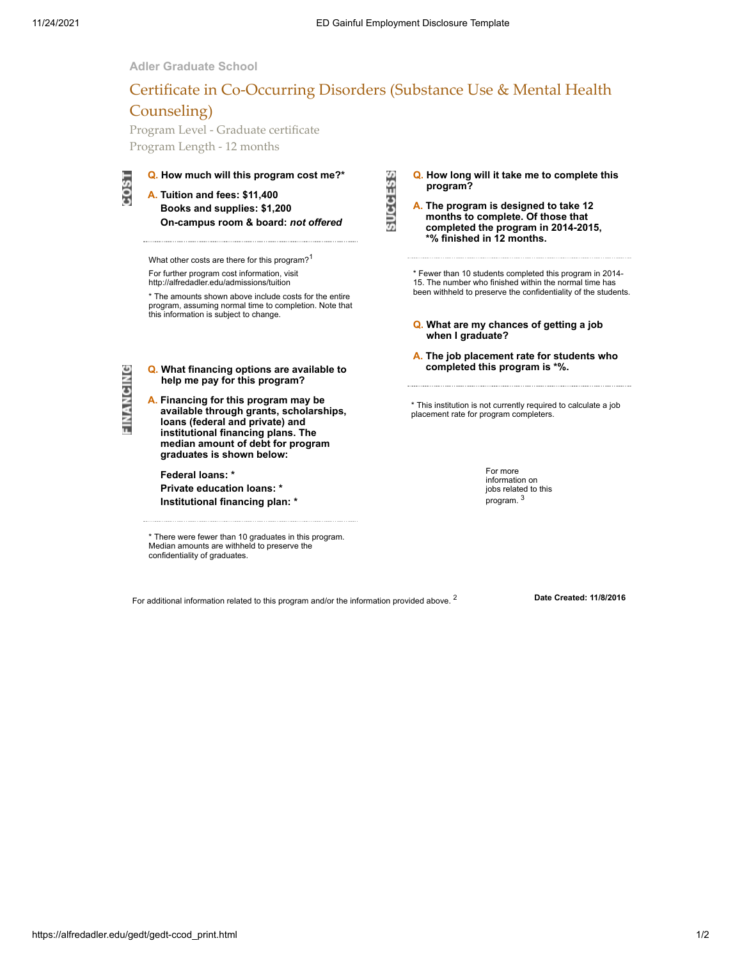## **Adler Graduate School**

# Certificate in Co-Occurring Disorders (Substance Use & Mental Health Counseling)

Program Level - Graduate certificate Program Length - 12 months



# **Q. How much will this program cost me?\***

**A. Tuition and fees: \$11,400 Books and supplies: \$1,200 On-campus room & board:** *not offered*

What other costs are there for this program?<sup>1</sup> For further program cost information, visit http://alfredadler.edu/admissions/tuition

\* The amounts shown above include costs for the entire program, assuming normal time to completion. Note that this information is subject to change.

FINANCING

**Q. What financing options are available to help me pay for this program?**

**A. Financing for this program may be available through grants, scholarships, loans (federal and private) and institutional financing plans. The median amount of debt for program graduates is shown below:**

**Federal loans: \***

**Private education loans: \* Institutional financing plan: \***

\* There were fewer than 10 graduates in this program. Median amounts are withheld to preserve the confidentiality of graduates.

**Q. How long will it take me to complete this program?**

**SUCCESS** 

**A. The program is designed to take 12 months to complete. Of those that completed the program in 2014-2015, \*% finished in 12 months.**

\* Fewer than 10 students completed this program in 2014- 15. The number who finished within the normal time has been withheld to preserve the confidentiality of the students.

- **Q. What are my chances of getting a job when I graduate?**
- **A. The job placement rate for students who completed this program is \*%.**

\* This institution is not currently required to calculate a job placement rate for program completers.

> For more information on jobs related to this program. <sup>3</sup>

For additional information related to this program and/or the information provided above. <sup>2</sup> **Date Created: 11/8/2016**